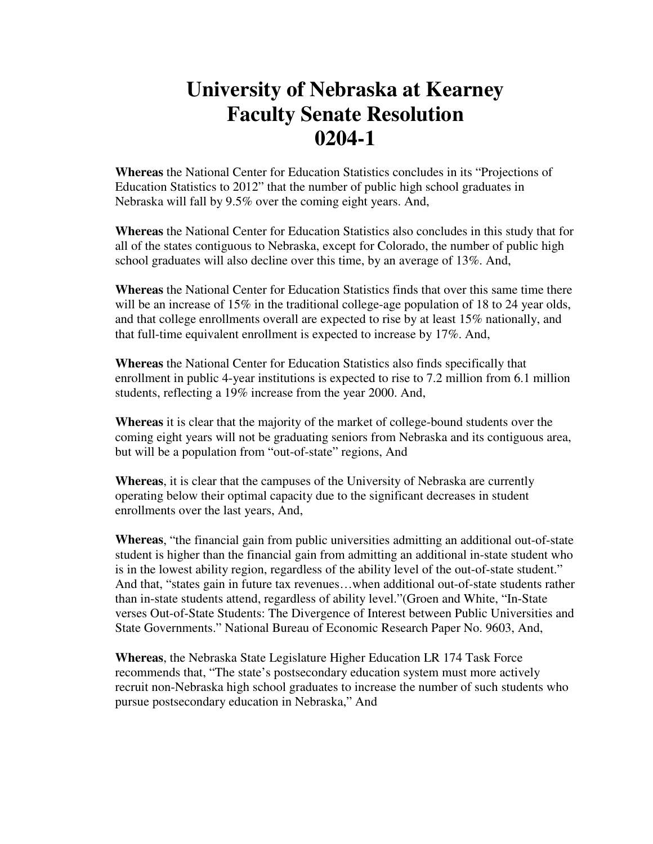## **University of Nebraska at Kearney Faculty Senate Resolution 0204-1**

**Whereas** the National Center for Education Statistics concludes in its "Projections of Education Statistics to 2012" that the number of public high school graduates in Nebraska will fall by 9.5% over the coming eight years. And,

**Whereas** the National Center for Education Statistics also concludes in this study that for all of the states contiguous to Nebraska, except for Colorado, the number of public high school graduates will also decline over this time, by an average of 13%. And,

**Whereas** the National Center for Education Statistics finds that over this same time there will be an increase of  $15\%$  in the traditional college-age population of 18 to 24 year olds, and that college enrollments overall are expected to rise by at least 15% nationally, and that full-time equivalent enrollment is expected to increase by 17%. And,

**Whereas** the National Center for Education Statistics also finds specifically that enrollment in public 4-year institutions is expected to rise to 7.2 million from 6.1 million students, reflecting a 19% increase from the year 2000. And,

**Whereas** it is clear that the majority of the market of college-bound students over the coming eight years will not be graduating seniors from Nebraska and its contiguous area, but will be a population from "out-of-state" regions, And

**Whereas**, it is clear that the campuses of the University of Nebraska are currently operating below their optimal capacity due to the significant decreases in student enrollments over the last years, And,

**Whereas**, "the financial gain from public universities admitting an additional out-of-state student is higher than the financial gain from admitting an additional in-state student who is in the lowest ability region, regardless of the ability level of the out-of-state student." And that, "states gain in future tax revenues…when additional out-of-state students rather than in-state students attend, regardless of ability level."(Groen and White, "In-State verses Out-of-State Students: The Divergence of Interest between Public Universities and State Governments." National Bureau of Economic Research Paper No. 9603, And,

**Whereas**, the Nebraska State Legislature Higher Education LR 174 Task Force recommends that, "The state's postsecondary education system must more actively recruit non-Nebraska high school graduates to increase the number of such students who pursue postsecondary education in Nebraska," And